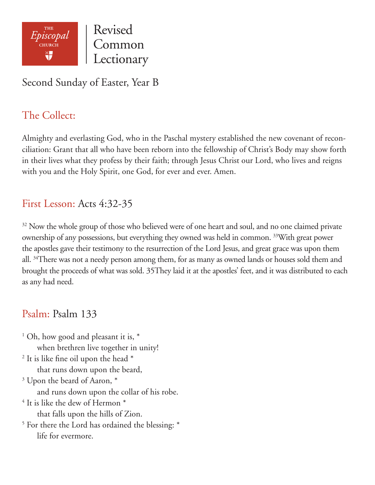

Revised Common Lectionary

## Second Sunday of Easter, Year B

# The Collect:

Almighty and everlasting God, who in the Paschal mystery established the new covenant of reconciliation: Grant that all who have been reborn into the fellowship of Christ's Body may show forth in their lives what they profess by their faith; through Jesus Christ our Lord, who lives and reigns with you and the Holy Spirit, one God, for ever and ever. Amen.

## First Lesson: Acts 4:32-35

<sup>32</sup> Now the whole group of those who believed were of one heart and soul, and no one claimed private ownership of any possessions, but everything they owned was held in common. 33With great power the apostles gave their testimony to the resurrection of the Lord Jesus, and great grace was upon them all. <sup>34</sup>There was not a needy person among them, for as many as owned lands or houses sold them and brought the proceeds of what was sold. 35They laid it at the apostles' feet, and it was distributed to each as any had need.

## Psalm: Psalm 133

<sup>1</sup> Oh, how good and pleasant it is,  $*$  when brethren live together in unity!  $2$  It is like fine oil upon the head  $*$  that runs down upon the beard, <sup>3</sup> Upon the beard of Aaron,  $*$  and runs down upon the collar of his robe.  $4$  It is like the dew of Hermon  $^*$  that falls upon the hills of Zion. <sup>5</sup> For there the Lord has ordained the blessing: \* life for evermore.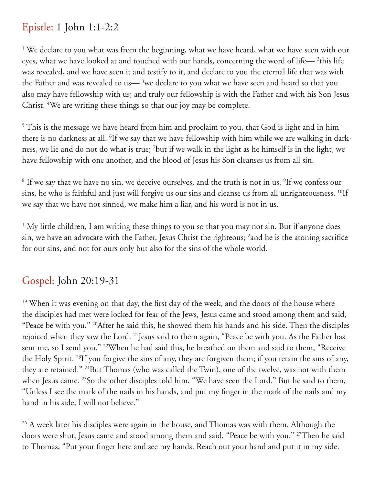### Epistle: 1 John 1:1-2:2

<sup>1</sup> We declare to you what was from the beginning, what we have heard, what we have seen with our eyes, what we have looked at and touched with our hands, concerning the word of life— $^2$ this life was revealed, and we have seen it and testify to it, and declare to you the eternal life that was with the Father and was revealed to us— $3$ we declare to you what we have seen and heard so that you also may have fellowship with us; and truly our fellowship is with the Father and with his Son Jesus Christ. <sup>4</sup>We are writing these things so that our joy may be complete.

<sup>5</sup> This is the message we have heard from him and proclaim to you, that God is light and in him there is no darkness at all. <sup>6</sup>If we say that we have fellowship with him while we are walking in darkness, we lie and do not do what is true; 7 but if we walk in the light as he himself is in the light, we have fellowship with one another, and the blood of Jesus his Son cleanses us from all sin.

<sup>8</sup> If we say that we have no sin, we deceive ourselves, and the truth is not in us. <sup>9</sup>If we confess our sins, he who is faithful and just will forgive us our sins and cleanse us from all unrighteousness. <sup>10</sup>If we say that we have not sinned, we make him a liar, and his word is not in us.

<sup>1</sup> My little children, I am writing these things to you so that you may not sin. But if anyone does sin, we have an advocate with the Father, Jesus Christ the righteous; 2 and he is the atoning sacrifice for our sins, and not for ours only but also for the sins of the whole world.

## Gospel: John 20:19-31

<sup>19</sup> When it was evening on that day, the first day of the week, and the doors of the house where the disciples had met were locked for fear of the Jews, Jesus came and stood among them and said, "Peace be with you." 20After he said this, he showed them his hands and his side. Then the disciples rejoiced when they saw the Lord. 21Jesus said to them again, "Peace be with you. As the Father has sent me, so I send you." 22When he had said this, he breathed on them and said to them, "Receive the Holy Spirit. 23If you forgive the sins of any, they are forgiven them; if you retain the sins of any, they are retained." 24But Thomas (who was called the Twin), one of the twelve, was not with them when Jesus came. <sup>25</sup>So the other disciples told him, "We have seen the Lord." But he said to them, "Unless I see the mark of the nails in his hands, and put my finger in the mark of the nails and my hand in his side, I will not believe."

<sup>26</sup> A week later his disciples were again in the house, and Thomas was with them. Although the doors were shut, Jesus came and stood among them and said, "Peace be with you." 27Then he said to Thomas, "Put your finger here and see my hands. Reach out your hand and put it in my side.